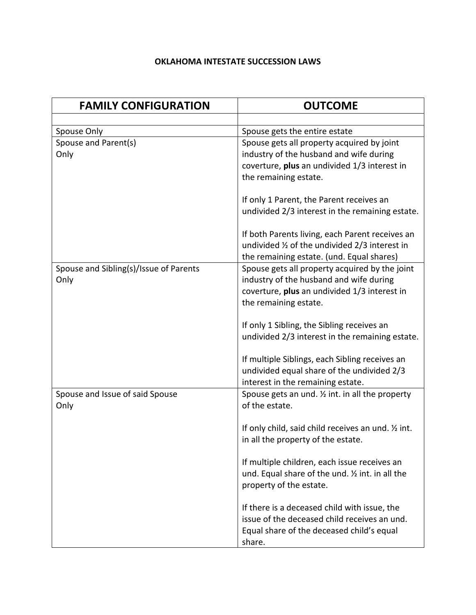## **OKLAHOMA INTESTATE SUCCESSION LAWS**

| <b>FAMILY CONFIGURATION</b>                    | <b>OUTCOME</b>                                                                                                                                                     |
|------------------------------------------------|--------------------------------------------------------------------------------------------------------------------------------------------------------------------|
|                                                |                                                                                                                                                                    |
| Spouse Only                                    | Spouse gets the entire estate                                                                                                                                      |
| Spouse and Parent(s)<br>Only                   | Spouse gets all property acquired by joint<br>industry of the husband and wife during<br>coverture, plus an undivided 1/3 interest in<br>the remaining estate.     |
|                                                | If only 1 Parent, the Parent receives an<br>undivided 2/3 interest in the remaining estate.                                                                        |
|                                                | If both Parents living, each Parent receives an<br>undivided 1/2 of the undivided 2/3 interest in<br>the remaining estate. (und. Equal shares)                     |
| Spouse and Sibling(s)/Issue of Parents<br>Only | Spouse gets all property acquired by the joint<br>industry of the husband and wife during<br>coverture, plus an undivided 1/3 interest in<br>the remaining estate. |
|                                                | If only 1 Sibling, the Sibling receives an<br>undivided 2/3 interest in the remaining estate.                                                                      |
|                                                | If multiple Siblings, each Sibling receives an<br>undivided equal share of the undivided 2/3<br>interest in the remaining estate.                                  |
| Spouse and Issue of said Spouse<br>Only        | Spouse gets an und. $\frac{1}{2}$ int. in all the property<br>of the estate.                                                                                       |
|                                                | If only child, said child receives an und. 1/2 int.<br>in all the property of the estate.                                                                          |
|                                                | If multiple children, each issue receives an<br>und. Equal share of the und. 1/2 int. in all the<br>property of the estate.                                        |
|                                                | If there is a deceased child with issue, the<br>issue of the deceased child receives an und.<br>Equal share of the deceased child's equal<br>share.                |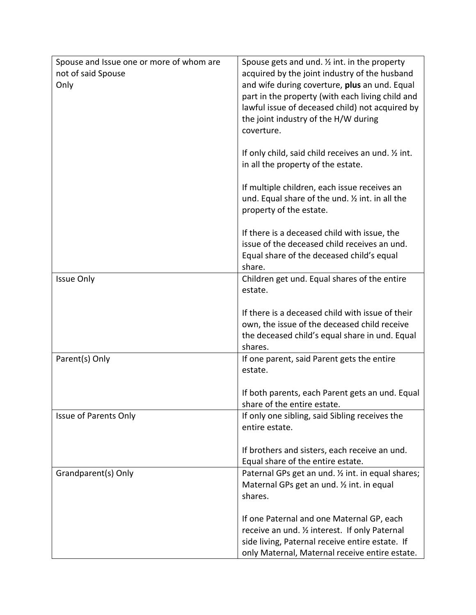| Spouse and Issue one or more of whom are<br>not of said Spouse<br>Only | Spouse gets and und. $\frac{1}{2}$ int. in the property<br>acquired by the joint industry of the husband<br>and wife during coverture, plus an und. Equal<br>part in the property (with each living child and<br>lawful issue of deceased child) not acquired by<br>the joint industry of the H/W during<br>coverture.<br>If only child, said child receives an und. 1/2 int. |
|------------------------------------------------------------------------|-------------------------------------------------------------------------------------------------------------------------------------------------------------------------------------------------------------------------------------------------------------------------------------------------------------------------------------------------------------------------------|
|                                                                        | in all the property of the estate.<br>If multiple children, each issue receives an<br>und. Equal share of the und. 1/2 int. in all the<br>property of the estate.                                                                                                                                                                                                             |
|                                                                        | If there is a deceased child with issue, the<br>issue of the deceased child receives an und.<br>Equal share of the deceased child's equal<br>share.                                                                                                                                                                                                                           |
| <b>Issue Only</b>                                                      | Children get und. Equal shares of the entire<br>estate.                                                                                                                                                                                                                                                                                                                       |
|                                                                        | If there is a deceased child with issue of their                                                                                                                                                                                                                                                                                                                              |
|                                                                        | own, the issue of the deceased child receive<br>the deceased child's equal share in und. Equal<br>shares.                                                                                                                                                                                                                                                                     |
| Parent(s) Only                                                         | If one parent, said Parent gets the entire<br>estate.                                                                                                                                                                                                                                                                                                                         |
|                                                                        | If both parents, each Parent gets an und. Equal<br>share of the entire estate.                                                                                                                                                                                                                                                                                                |
| Issue of Parents Only                                                  | If only one sibling, said Sibling receives the<br>entire estate.                                                                                                                                                                                                                                                                                                              |
|                                                                        | If brothers and sisters, each receive an und.<br>Equal share of the entire estate.                                                                                                                                                                                                                                                                                            |
| Grandparent(s) Only                                                    | Paternal GPs get an und. 1/2 int. in equal shares;                                                                                                                                                                                                                                                                                                                            |
|                                                                        | Maternal GPs get an und. 1/2 int. in equal<br>shares.                                                                                                                                                                                                                                                                                                                         |
|                                                                        | If one Paternal and one Maternal GP, each<br>receive an und. 1/2 interest. If only Paternal<br>side living, Paternal receive entire estate. If<br>only Maternal, Maternal receive entire estate.                                                                                                                                                                              |